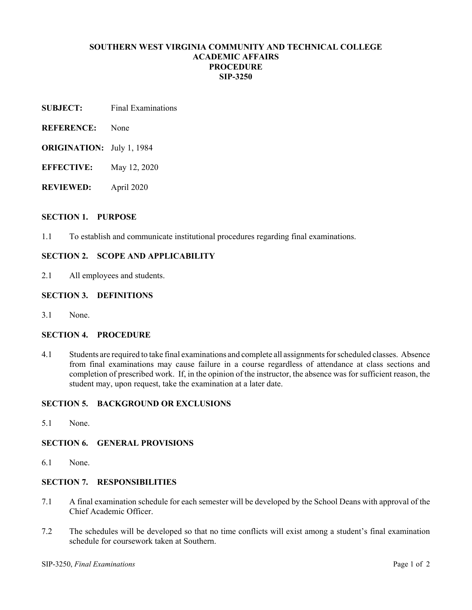# **SOUTHERN WEST VIRGINIA COMMUNITY AND TECHNICAL COLLEGE ACADEMIC AFFAIRS PROCEDURE SIP-3250**

- **SUBJECT:** Final Examinations
- **REFERENCE:** None
- **ORIGINATION:** July 1, 1984
- **EFFECTIVE:** May 12, 2020
- **REVIEWED:** April 2020

#### **SECTION 1. PURPOSE**

1.1 To establish and communicate institutional procedures regarding final examinations.

### **SECTION 2. SCOPE AND APPLICABILITY**

2.1 All employees and students.

#### **SECTION 3. DEFINITIONS**

3.1 None.

#### **SECTION 4. PROCEDURE**

4.1 Students are required to take final examinations and complete all assignments for scheduled classes. Absence from final examinations may cause failure in a course regardless of attendance at class sections and completion of prescribed work. If, in the opinion of the instructor, the absence was for sufficient reason, the student may, upon request, take the examination at a later date.

# **SECTION 5. BACKGROUND OR EXCLUSIONS**

5.1 None.

#### **SECTION 6. GENERAL PROVISIONS**

6.1 None.

#### **SECTION 7. RESPONSIBILITIES**

- 7.1 A final examination schedule for each semester will be developed by the School Deans with approval of the Chief Academic Officer.
- 7.2 The schedules will be developed so that no time conflicts will exist among a student's final examination schedule for coursework taken at Southern.